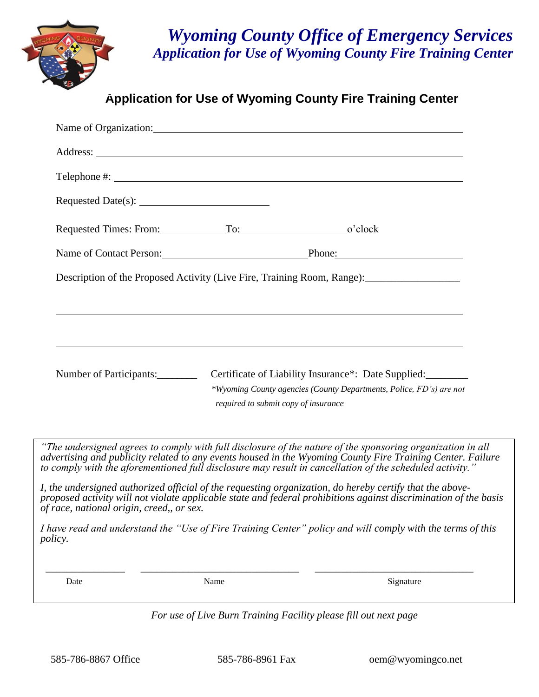

## *Wyoming County Office of Emergency Services Application for Use of Wyoming County Fire Training Center*

**Application for Use of Wyoming County Fire Training Center**

|                                                                                                                                                                                                                                                                                                                                      |      | Name of Organization:                                                                                       |  |
|--------------------------------------------------------------------------------------------------------------------------------------------------------------------------------------------------------------------------------------------------------------------------------------------------------------------------------------|------|-------------------------------------------------------------------------------------------------------------|--|
|                                                                                                                                                                                                                                                                                                                                      |      |                                                                                                             |  |
|                                                                                                                                                                                                                                                                                                                                      |      |                                                                                                             |  |
|                                                                                                                                                                                                                                                                                                                                      |      |                                                                                                             |  |
| Requested Times: From: To: To: 0'clock                                                                                                                                                                                                                                                                                               |      |                                                                                                             |  |
|                                                                                                                                                                                                                                                                                                                                      |      | Name of Contact Person: Phone: Phone:                                                                       |  |
|                                                                                                                                                                                                                                                                                                                                      |      | Description of the Proposed Activity (Live Fire, Training Room, Range): ___________________________         |  |
|                                                                                                                                                                                                                                                                                                                                      |      |                                                                                                             |  |
|                                                                                                                                                                                                                                                                                                                                      |      | ,我们也不会有什么。""我们的人,我们也不会有什么?""我们的人,我们也不会有什么?""我们的人,我们也不会有什么?""我们的人,我们也不会有什么?""我们的人                            |  |
|                                                                                                                                                                                                                                                                                                                                      |      | ,我们也不会有什么。""我们的人,我们也不会有什么?""我们的人,我们也不会有什么?""我们的人,我们也不会有什么?""我们的人,我们也不会有什么?""我们的人                            |  |
| Number of Participants:                                                                                                                                                                                                                                                                                                              |      | Certificate of Liability Insurance*: Date Supplied:                                                         |  |
|                                                                                                                                                                                                                                                                                                                                      |      | *Wyoming County agencies (County Departments, Police, FD's) are not<br>required to submit copy of insurance |  |
|                                                                                                                                                                                                                                                                                                                                      |      |                                                                                                             |  |
| "The undersigned agrees to comply with full disclosure of the nature of the sponsoring organization in all<br>advertising and publicity related to any events housed in the Wyoming County Fire Training Center. Failure<br>to comply with the aforementioned full disclosure may result in cancellation of the scheduled activity." |      |                                                                                                             |  |
| I, the undersigned authorized official of the requesting organization, do hereby certify that the above-<br>proposed activity will not violate applicable state and federal prohibitions against discrimination of the basis<br>of race, national origin, creed,, or sex.                                                            |      |                                                                                                             |  |
| I have read and understand the "Use of Fire Training Center" policy and will comply with the terms of this<br><i>policy.</i>                                                                                                                                                                                                         |      |                                                                                                             |  |
| Date                                                                                                                                                                                                                                                                                                                                 | Name | Signature                                                                                                   |  |

*For use of Live Burn Training Facility please fill out next page*